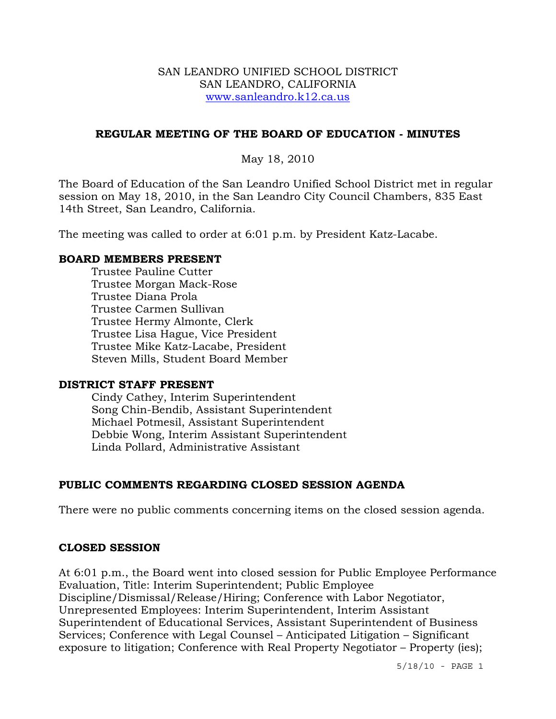#### SAN LEANDRO UNIFIED SCHOOL DISTRICT SAN LEANDRO, CALIFORNIA www.sanleandro.k12.ca.us

### **REGULAR MEETING OF THE BOARD OF EDUCATION - MINUTES**

May 18, 2010

The Board of Education of the San Leandro Unified School District met in regular session on May 18, 2010, in the San Leandro City Council Chambers, 835 East 14th Street, San Leandro, California.

The meeting was called to order at 6:01 p.m. by President Katz-Lacabe.

#### **BOARD MEMBERS PRESENT**

Trustee Pauline Cutter Trustee Morgan Mack-Rose Trustee Diana Prola Trustee Carmen Sullivan Trustee Hermy Almonte, Clerk Trustee Lisa Hague, Vice President Trustee Mike Katz-Lacabe, President Steven Mills, Student Board Member

#### **DISTRICT STAFF PRESENT**

Cindy Cathey, Interim Superintendent Song Chin-Bendib, Assistant Superintendent Michael Potmesil, Assistant Superintendent Debbie Wong, Interim Assistant Superintendent Linda Pollard, Administrative Assistant

## **PUBLIC COMMENTS REGARDING CLOSED SESSION AGENDA**

There were no public comments concerning items on the closed session agenda.

#### **CLOSED SESSION**

At 6:01 p.m., the Board went into closed session for Public Employee Performance Evaluation, Title: Interim Superintendent; Public Employee Discipline/Dismissal/Release/Hiring; Conference with Labor Negotiator, Unrepresented Employees: Interim Superintendent, Interim Assistant Superintendent of Educational Services, Assistant Superintendent of Business Services; Conference with Legal Counsel – Anticipated Litigation – Significant exposure to litigation; Conference with Real Property Negotiator – Property (ies);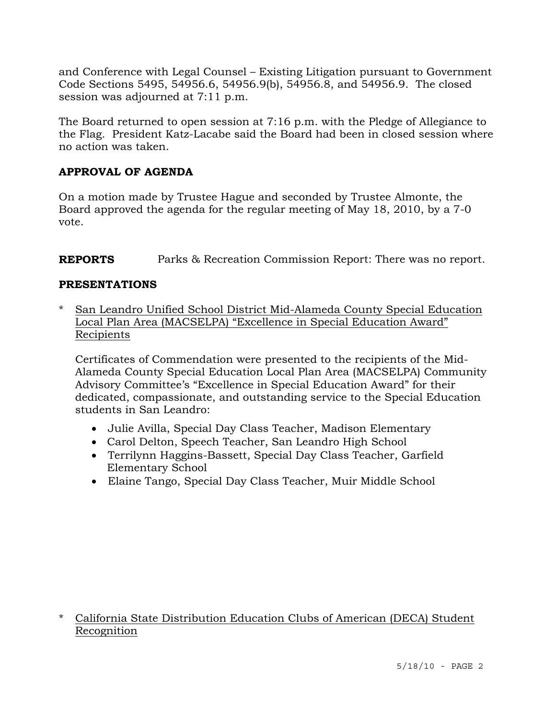and Conference with Legal Counsel – Existing Litigation pursuant to Government Code Sections 5495, 54956.6, 54956.9(b), 54956.8, and 54956.9. The closed session was adjourned at 7:11 p.m.

The Board returned to open session at 7:16 p.m. with the Pledge of Allegiance to the Flag. President Katz-Lacabe said the Board had been in closed session where no action was taken.

# **APPROVAL OF AGENDA**

On a motion made by Trustee Hague and seconded by Trustee Almonte, the Board approved the agenda for the regular meeting of May 18, 2010, by a 7-0 vote.

**REPORTS** Parks & Recreation Commission Report: There was no report.

# **PRESENTATIONS**

\* San Leandro Unified School District Mid-Alameda County Special Education Local Plan Area (MACSELPA) "Excellence in Special Education Award" Recipients

 Certificates of Commendation were presented to the recipients of the Mid-Alameda County Special Education Local Plan Area (MACSELPA) Community Advisory Committee's "Excellence in Special Education Award" for their dedicated, compassionate, and outstanding service to the Special Education students in San Leandro:

- Julie Avilla, Special Day Class Teacher, Madison Elementary
- Carol Delton, Speech Teacher, San Leandro High School
- Terrilynn Haggins-Bassett, Special Day Class Teacher, Garfield Elementary School
- Elaine Tango, Special Day Class Teacher, Muir Middle School

\* California State Distribution Education Clubs of American (DECA) Student Recognition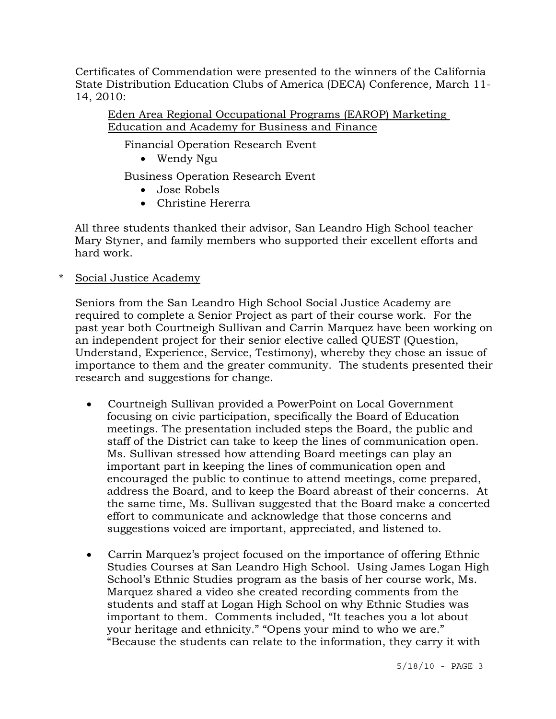Certificates of Commendation were presented to the winners of the California State Distribution Education Clubs of America (DECA) Conference, March 11- 14, 2010:

 Eden Area Regional Occupational Programs (EAROP) Marketing Education and Academy for Business and Finance

Financial Operation Research Event

• Wendy Ngu

Business Operation Research Event

- Jose Robels
- Christine Hererra

 All three students thanked their advisor, San Leandro High School teacher Mary Styner, and family members who supported their excellent efforts and hard work.

\* Social Justice Academy

Seniors from the San Leandro High School Social Justice Academy are required to complete a Senior Project as part of their course work. For the past year both Courtneigh Sullivan and Carrin Marquez have been working on an independent project for their senior elective called QUEST (Question, Understand, Experience, Service, Testimony), whereby they chose an issue of importance to them and the greater community. The students presented their research and suggestions for change.

- Courtneigh Sullivan provided a PowerPoint on Local Government focusing on civic participation, specifically the Board of Education meetings. The presentation included steps the Board, the public and staff of the District can take to keep the lines of communication open. Ms. Sullivan stressed how attending Board meetings can play an important part in keeping the lines of communication open and encouraged the public to continue to attend meetings, come prepared, address the Board, and to keep the Board abreast of their concerns. At the same time, Ms. Sullivan suggested that the Board make a concerted effort to communicate and acknowledge that those concerns and suggestions voiced are important, appreciated, and listened to.
- Carrin Marquez's project focused on the importance of offering Ethnic Studies Courses at San Leandro High School. Using James Logan High School's Ethnic Studies program as the basis of her course work, Ms. Marquez shared a video she created recording comments from the students and staff at Logan High School on why Ethnic Studies was important to them. Comments included, "It teaches you a lot about your heritage and ethnicity." "Opens your mind to who we are." "Because the students can relate to the information, they carry it with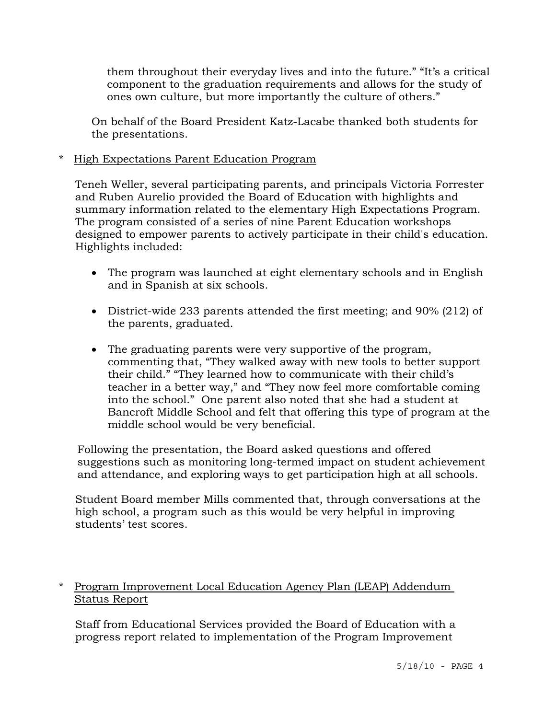them throughout their everyday lives and into the future." "It's a critical component to the graduation requirements and allows for the study of ones own culture, but more importantly the culture of others."

On behalf of the Board President Katz-Lacabe thanked both students for the presentations.

\* High Expectations Parent Education Program

 Teneh Weller, several participating parents, and principals Victoria Forrester and Ruben Aurelio provided the Board of Education with highlights and summary information related to the elementary High Expectations Program. The program consisted of a series of nine Parent Education workshops designed to empower parents to actively participate in their child's education. Highlights included:

- The program was launched at eight elementary schools and in English and in Spanish at six schools.
- District-wide 233 parents attended the first meeting; and 90% (212) of the parents, graduated.
- The graduating parents were very supportive of the program, commenting that, "They walked away with new tools to better support their child." "They learned how to communicate with their child's teacher in a better way," and "They now feel more comfortable coming into the school." One parent also noted that she had a student at Bancroft Middle School and felt that offering this type of program at the middle school would be very beneficial.

 Following the presentation, the Board asked questions and offered suggestions such as monitoring long-termed impact on student achievement and attendance, and exploring ways to get participation high at all schools.

 Student Board member Mills commented that, through conversations at the high school, a program such as this would be very helpful in improving students' test scores.

## \* Program Improvement Local Education Agency Plan (LEAP) Addendum Status Report

Staff from Educational Services provided the Board of Education with a progress report related to implementation of the Program Improvement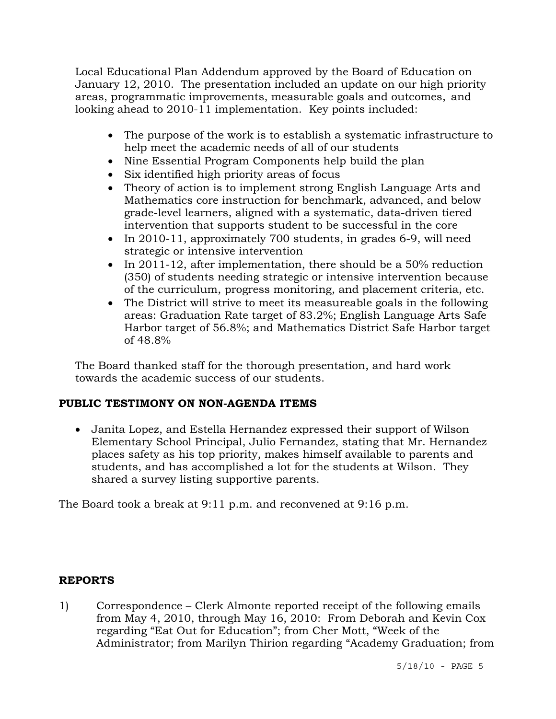Local Educational Plan Addendum approved by the Board of Education on January 12, 2010. The presentation included an update on our high priority areas, programmatic improvements, measurable goals and outcomes, and looking ahead to 2010-11 implementation. Key points included:

- The purpose of the work is to establish a systematic infrastructure to help meet the academic needs of all of our students
- Nine Essential Program Components help build the plan
- Six identified high priority areas of focus
- Theory of action is to implement strong English Language Arts and Mathematics core instruction for benchmark, advanced, and below grade-level learners, aligned with a systematic, data-driven tiered intervention that supports student to be successful in the core
- In 2010-11, approximately 700 students, in grades 6-9, will need strategic or intensive intervention
- In 2011-12, after implementation, there should be a 50% reduction (350) of students needing strategic or intensive intervention because of the curriculum, progress monitoring, and placement criteria, etc.
- The District will strive to meet its measureable goals in the following areas: Graduation Rate target of 83.2%; English Language Arts Safe Harbor target of 56.8%; and Mathematics District Safe Harbor target of 48.8%

 The Board thanked staff for the thorough presentation, and hard work towards the academic success of our students.

## **PUBLIC TESTIMONY ON NON-AGENDA ITEMS**

• Janita Lopez, and Estella Hernandez expressed their support of Wilson Elementary School Principal, Julio Fernandez, stating that Mr. Hernandez places safety as his top priority, makes himself available to parents and students, and has accomplished a lot for the students at Wilson. They shared a survey listing supportive parents.

The Board took a break at 9:11 p.m. and reconvened at 9:16 p.m.

## **REPORTS**

1) Correspondence – Clerk Almonte reported receipt of the following emails from May 4, 2010, through May 16, 2010: From Deborah and Kevin Cox regarding "Eat Out for Education"; from Cher Mott, "Week of the Administrator; from Marilyn Thirion regarding "Academy Graduation; from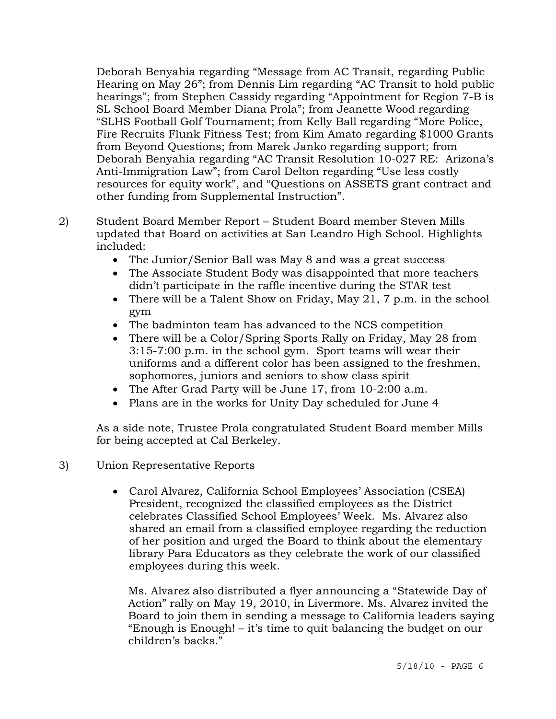Deborah Benyahia regarding "Message from AC Transit, regarding Public Hearing on May 26"; from Dennis Lim regarding "AC Transit to hold public hearings"; from Stephen Cassidy regarding "Appointment for Region 7-B is SL School Board Member Diana Prola"; from Jeanette Wood regarding "SLHS Football Golf Tournament; from Kelly Ball regarding "More Police, Fire Recruits Flunk Fitness Test; from Kim Amato regarding \$1000 Grants from Beyond Questions; from Marek Janko regarding support; from Deborah Benyahia regarding "AC Transit Resolution 10-027 RE: Arizona's Anti-Immigration Law"; from Carol Delton regarding "Use less costly resources for equity work", and "Questions on ASSETS grant contract and other funding from Supplemental Instruction".

- 2) Student Board Member Report Student Board member Steven Mills updated that Board on activities at San Leandro High School. Highlights included:
	- The Junior/Senior Ball was May 8 and was a great success
	- The Associate Student Body was disappointed that more teachers didn't participate in the raffle incentive during the STAR test
	- There will be a Talent Show on Friday, May 21, 7 p.m. in the school gym
	- The badminton team has advanced to the NCS competition
	- There will be a Color/Spring Sports Rally on Friday, May 28 from 3:15-7:00 p.m. in the school gym. Sport teams will wear their uniforms and a different color has been assigned to the freshmen, sophomores, juniors and seniors to show class spirit
	- The After Grad Party will be June 17, from 10-2:00 a.m.
	- Plans are in the works for Unity Day scheduled for June 4

As a side note, Trustee Prola congratulated Student Board member Mills for being accepted at Cal Berkeley.

- 3) Union Representative Reports
	- Carol Alvarez, California School Employees' Association (CSEA) President, recognized the classified employees as the District celebrates Classified School Employees' Week. Ms. Alvarez also shared an email from a classified employee regarding the reduction of her position and urged the Board to think about the elementary library Para Educators as they celebrate the work of our classified employees during this week.

 Ms. Alvarez also distributed a flyer announcing a "Statewide Day of Action" rally on May 19, 2010, in Livermore. Ms. Alvarez invited the Board to join them in sending a message to California leaders saying "Enough is Enough! – it's time to quit balancing the budget on our children's backs."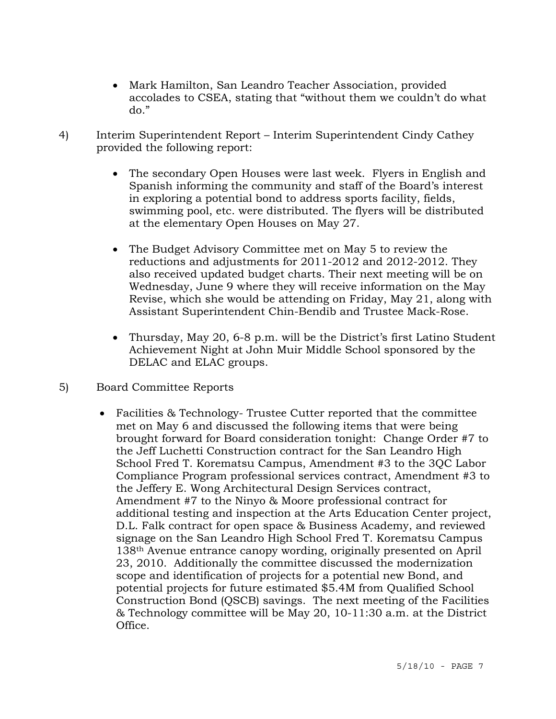- Mark Hamilton, San Leandro Teacher Association, provided accolades to CSEA, stating that "without them we couldn't do what do."
- 4) Interim Superintendent Report Interim Superintendent Cindy Cathey provided the following report:
	- The secondary Open Houses were last week. Flyers in English and Spanish informing the community and staff of the Board's interest in exploring a potential bond to address sports facility, fields, swimming pool, etc. were distributed. The flyers will be distributed at the elementary Open Houses on May 27.
	- The Budget Advisory Committee met on May 5 to review the reductions and adjustments for 2011-2012 and 2012-2012. They also received updated budget charts. Their next meeting will be on Wednesday, June 9 where they will receive information on the May Revise, which she would be attending on Friday, May 21, along with Assistant Superintendent Chin-Bendib and Trustee Mack-Rose.
	- Thursday, May 20, 6-8 p.m. will be the District's first Latino Student Achievement Night at John Muir Middle School sponsored by the DELAC and ELAC groups.
- 5) Board Committee Reports
	- Facilities & Technology-Trustee Cutter reported that the committee met on May 6 and discussed the following items that were being brought forward for Board consideration tonight: Change Order #7 to the Jeff Luchetti Construction contract for the San Leandro High School Fred T. Korematsu Campus, Amendment #3 to the 3QC Labor Compliance Program professional services contract, Amendment #3 to the Jeffery E. Wong Architectural Design Services contract, Amendment #7 to the Ninyo & Moore professional contract for additional testing and inspection at the Arts Education Center project, D.L. Falk contract for open space & Business Academy, and reviewed signage on the San Leandro High School Fred T. Korematsu Campus 138th Avenue entrance canopy wording, originally presented on April 23, 2010. Additionally the committee discussed the modernization scope and identification of projects for a potential new Bond, and potential projects for future estimated \$5.4M from Qualified School Construction Bond (QSCB) savings. The next meeting of the Facilities & Technology committee will be May 20, 10-11:30 a.m. at the District Office.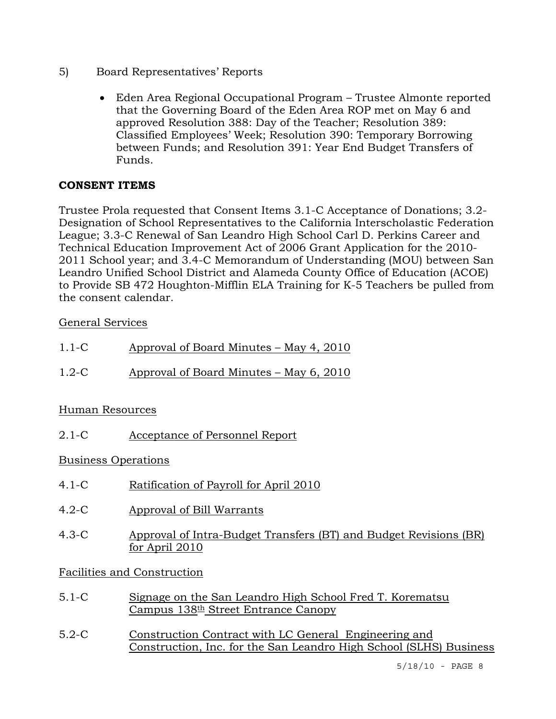- 5) Board Representatives' Reports
	- Eden Area Regional Occupational Program Trustee Almonte reported that the Governing Board of the Eden Area ROP met on May 6 and approved Resolution 388: Day of the Teacher; Resolution 389: Classified Employees' Week; Resolution 390: Temporary Borrowing between Funds; and Resolution 391: Year End Budget Transfers of Funds.

## **CONSENT ITEMS**

Trustee Prola requested that Consent Items 3.1-C Acceptance of Donations; 3.2- Designation of School Representatives to the California Interscholastic Federation League; 3.3-C Renewal of San Leandro High School Carl D. Perkins Career and Technical Education Improvement Act of 2006 Grant Application for the 2010- 2011 School year; and 3.4-C Memorandum of Understanding (MOU) between San Leandro Unified School District and Alameda County Office of Education (ACOE) to Provide SB 472 Houghton-Mifflin ELA Training for K-5 Teachers be pulled from the consent calendar.

## General Services

| $1.1 - C$ | Approval of Board Minutes – May 4, 2010 |
|-----------|-----------------------------------------|
| $1.2-C$   | Approval of Board Minutes – May 6, 2010 |

## Human Resources

2.1-C Acceptance of Personnel Report

## Business Operations

- 4.1-C Ratification of Payroll for April 2010
- 4.2-C Approval of Bill Warrants
- 4.3-C Approval of Intra-Budget Transfers (BT) and Budget Revisions (BR) for April 2010

## Facilities and Construction

- 5.1-C Signage on the San Leandro High School Fred T. Korematsu Campus  $138<sup>th</sup>$  Street Entrance Canopy
- 5.2-C Construction Contract with LC General Engineering and Construction, Inc. for the San Leandro High School (SLHS) Business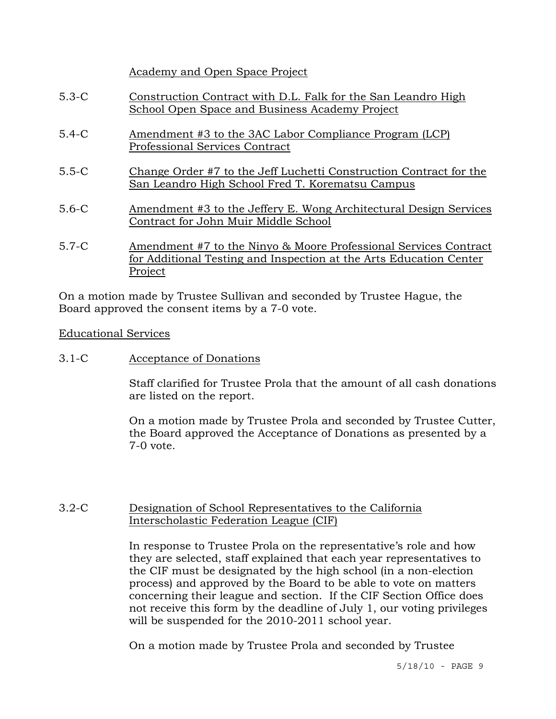Academy and Open Space Project

- 5.3-C Construction Contract with D.L. Falk for the San Leandro High School Open Space and Business Academy Project
- 5.4-C Amendment #3 to the 3AC Labor Compliance Program (LCP) Professional Services Contract
- 5.5-C Change Order #7 to the Jeff Luchetti Construction Contract for the San Leandro High School Fred T. Korematsu Campus
- 5.6-C Amendment #3 to the Jeffery E. Wong Architectural Design Services Contract for John Muir Middle School
- 5.7-C Amendment #7 to the Ninyo & Moore Professional Services Contract for Additional Testing and Inspection at the Arts Education Center Project

On a motion made by Trustee Sullivan and seconded by Trustee Hague, the Board approved the consent items by a 7-0 vote.

#### Educational Services

## 3.1-C Acceptance of Donations

Staff clarified for Trustee Prola that the amount of all cash donations are listed on the report.

On a motion made by Trustee Prola and seconded by Trustee Cutter, the Board approved the Acceptance of Donations as presented by a 7-0 vote.

#### 3.2-C Designation of School Representatives to the California Interscholastic Federation League (CIF)

In response to Trustee Prola on the representative's role and how they are selected, staff explained that each year representatives to the CIF must be designated by the high school (in a non-election process) and approved by the Board to be able to vote on matters concerning their league and section. If the CIF Section Office does not receive this form by the deadline of July 1, our voting privileges will be suspended for the 2010-2011 school year.

On a motion made by Trustee Prola and seconded by Trustee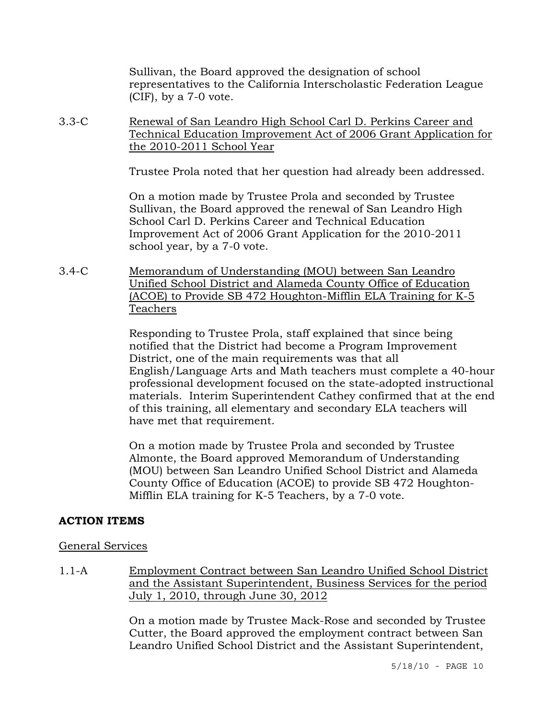Sullivan, the Board approved the designation of school representatives to the California Interscholastic Federation League (CIF), by a 7-0 vote.

3.3-C Renewal of San Leandro High School Carl D. Perkins Career and Technical Education Improvement Act of 2006 Grant Application for the 2010-2011 School Year

Trustee Prola noted that her question had already been addressed.

On a motion made by Trustee Prola and seconded by Trustee Sullivan, the Board approved the renewal of San Leandro High School Carl D. Perkins Career and Technical Education Improvement Act of 2006 Grant Application for the 2010-2011 school year, by a 7-0 vote.

3.4-C Memorandum of Understanding (MOU) between San Leandro Unified School District and Alameda County Office of Education (ACOE) to Provide SB 472 Houghton-Mifflin ELA Training for K-5 Teachers

> Responding to Trustee Prola, staff explained that since being notified that the District had become a Program Improvement District, one of the main requirements was that all English/Language Arts and Math teachers must complete a 40-hour professional development focused on the state-adopted instructional materials. Interim Superintendent Cathey confirmed that at the end of this training, all elementary and secondary ELA teachers will have met that requirement.

On a motion made by Trustee Prola and seconded by Trustee Almonte, the Board approved Memorandum of Understanding (MOU) between San Leandro Unified School District and Alameda County Office of Education (ACOE) to provide SB 472 Houghton-Mifflin ELA training for K-5 Teachers, by a 7-0 vote.

## **ACTION ITEMS**

## General Services

1.1-A Employment Contract between San Leandro Unified School District and the Assistant Superintendent, Business Services for the period July 1, 2010, through June 30, 2012

> On a motion made by Trustee Mack-Rose and seconded by Trustee Cutter, the Board approved the employment contract between San Leandro Unified School District and the Assistant Superintendent,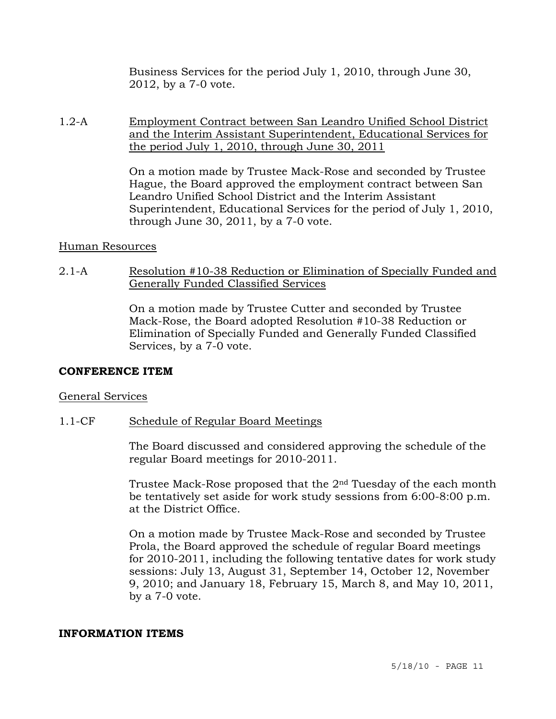Business Services for the period July 1, 2010, through June 30, 2012, by a 7-0 vote.

1.2-A Employment Contract between San Leandro Unified School District and the Interim Assistant Superintendent, Educational Services for the period July 1, 2010, through June 30, 2011

> On a motion made by Trustee Mack-Rose and seconded by Trustee Hague, the Board approved the employment contract between San Leandro Unified School District and the Interim Assistant Superintendent, Educational Services for the period of July 1, 2010, through June 30, 2011, by a 7-0 vote.

#### Human Resources

2.1-A Resolution #10-38 Reduction or Elimination of Specially Funded and Generally Funded Classified Services

> On a motion made by Trustee Cutter and seconded by Trustee Mack-Rose, the Board adopted Resolution #10-38 Reduction or Elimination of Specially Funded and Generally Funded Classified Services, by a 7-0 vote.

#### **CONFERENCE ITEM**

#### General Services

1.1-CF Schedule of Regular Board Meetings

The Board discussed and considered approving the schedule of the regular Board meetings for 2010-2011.

Trustee Mack-Rose proposed that the 2nd Tuesday of the each month be tentatively set aside for work study sessions from 6:00-8:00 p.m. at the District Office.

On a motion made by Trustee Mack-Rose and seconded by Trustee Prola, the Board approved the schedule of regular Board meetings for 2010-2011, including the following tentative dates for work study sessions: July 13, August 31, September 14, October 12, November 9, 2010; and January 18, February 15, March 8, and May 10, 2011, by a 7-0 vote.

#### **INFORMATION ITEMS**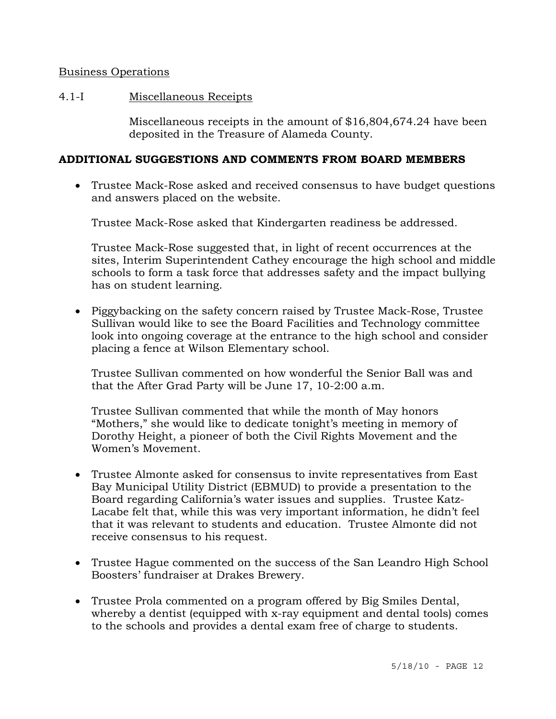#### Business Operations

#### 4.1-I Miscellaneous Receipts

Miscellaneous receipts in the amount of \$16,804,674.24 have been deposited in the Treasure of Alameda County.

#### **ADDITIONAL SUGGESTIONS AND COMMENTS FROM BOARD MEMBERS**

• Trustee Mack-Rose asked and received consensus to have budget questions and answers placed on the website.

Trustee Mack-Rose asked that Kindergarten readiness be addressed.

 Trustee Mack-Rose suggested that, in light of recent occurrences at the sites, Interim Superintendent Cathey encourage the high school and middle schools to form a task force that addresses safety and the impact bullying has on student learning.

• Piggybacking on the safety concern raised by Trustee Mack-Rose, Trustee Sullivan would like to see the Board Facilities and Technology committee look into ongoing coverage at the entrance to the high school and consider placing a fence at Wilson Elementary school.

 Trustee Sullivan commented on how wonderful the Senior Ball was and that the After Grad Party will be June 17, 10-2:00 a.m.

 Trustee Sullivan commented that while the month of May honors "Mothers," she would like to dedicate tonight's meeting in memory of Dorothy Height, a pioneer of both the Civil Rights Movement and the Women's Movement.

- Trustee Almonte asked for consensus to invite representatives from East Bay Municipal Utility District (EBMUD) to provide a presentation to the Board regarding California's water issues and supplies. Trustee Katz-Lacabe felt that, while this was very important information, he didn't feel that it was relevant to students and education. Trustee Almonte did not receive consensus to his request.
- Trustee Hague commented on the success of the San Leandro High School Boosters' fundraiser at Drakes Brewery.
- Trustee Prola commented on a program offered by Big Smiles Dental, whereby a dentist (equipped with x-ray equipment and dental tools) comes to the schools and provides a dental exam free of charge to students.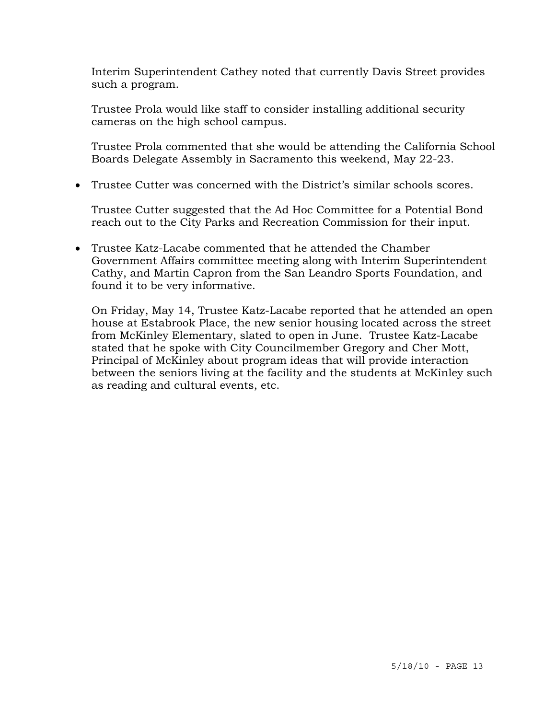Interim Superintendent Cathey noted that currently Davis Street provides such a program.

 Trustee Prola would like staff to consider installing additional security cameras on the high school campus.

 Trustee Prola commented that she would be attending the California School Boards Delegate Assembly in Sacramento this weekend, May 22-23.

• Trustee Cutter was concerned with the District's similar schools scores.

 Trustee Cutter suggested that the Ad Hoc Committee for a Potential Bond reach out to the City Parks and Recreation Commission for their input.

• Trustee Katz-Lacabe commented that he attended the Chamber Government Affairs committee meeting along with Interim Superintendent Cathy, and Martin Capron from the San Leandro Sports Foundation, and found it to be very informative.

 On Friday, May 14, Trustee Katz-Lacabe reported that he attended an open house at Estabrook Place, the new senior housing located across the street from McKinley Elementary, slated to open in June. Trustee Katz-Lacabe stated that he spoke with City Councilmember Gregory and Cher Mott, Principal of McKinley about program ideas that will provide interaction between the seniors living at the facility and the students at McKinley such as reading and cultural events, etc.